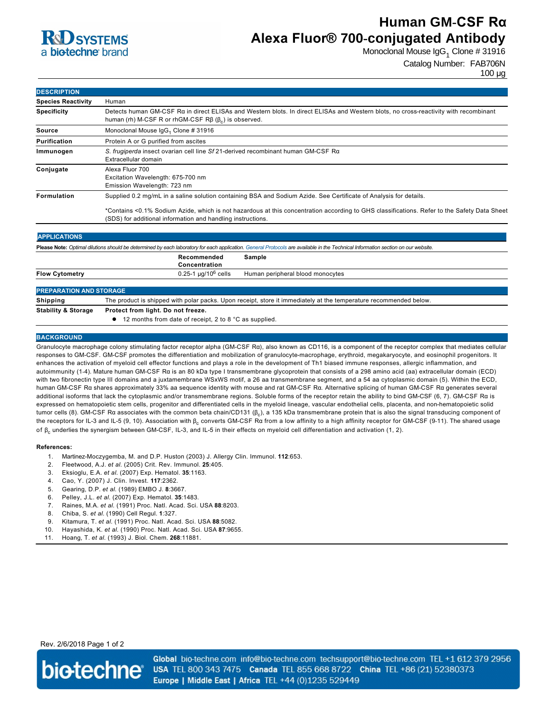

# **Human GM-CSF Rα Alexa Fluor® 700-conjugated Antibody**

Monoclonal Mouse IgG $_1$  Clone # 31916

Catalog Number: FAB706N

| <b>DESCRIPTION</b>        |                                                                                                                                                                                                          |  |
|---------------------------|----------------------------------------------------------------------------------------------------------------------------------------------------------------------------------------------------------|--|
| <b>Species Reactivity</b> | Human                                                                                                                                                                                                    |  |
| <b>Specificity</b>        | Detects human GM-CSF Rα in direct ELISAs and Western blots. In direct ELISAs and Western blots, no cross-reactivity with recombinant<br>human (rh) M-CSF R or rhGM-CSF $R\beta$ ( $\beta$ ) is observed. |  |
| Source                    | Monoclonal Mouse IgG <sub>1</sub> Clone # 31916                                                                                                                                                          |  |
| <b>Purification</b>       | Protein A or G purified from ascites                                                                                                                                                                     |  |
| Immunogen                 | S. frugiperda insect ovarian cell line Sf 21-derived recombinant human GM-CSF R $\alpha$<br>Extracellular domain                                                                                         |  |
| Conjugate                 | Alexa Fluor 700<br>Excitation Wavelength: 675-700 nm<br>Emission Wavelength: 723 nm                                                                                                                      |  |
| <b>Formulation</b>        | Supplied 0.2 mg/mL in a saline solution containing BSA and Sodium Azide. See Certificate of Analysis for details.                                                                                        |  |
|                           | *Contains <0.1% Sodium Azide, which is not hazardous at this concentration according to GHS classifications. Refer to the Safety Data Sheet                                                              |  |

(SDS) for additional information and handling instructions.

| <b>APPLICATIONS</b>                                                                                                                                                               |                                                                                                                   |                                  |  |
|-----------------------------------------------------------------------------------------------------------------------------------------------------------------------------------|-------------------------------------------------------------------------------------------------------------------|----------------------------------|--|
| Please Note: Optimal dilutions should be determined by each laboratory for each application. General Protocols are available in the Technical Information section on our website. |                                                                                                                   |                                  |  |
|                                                                                                                                                                                   | Recommended<br>Concentration                                                                                      | Sample                           |  |
| <b>Flow Cytometry</b>                                                                                                                                                             | $0.25 - 1 \mu q/10^6$ cells                                                                                       | Human peripheral blood monocytes |  |
| <b>PREPARATION AND STORAGE</b>                                                                                                                                                    |                                                                                                                   |                                  |  |
| <b>Shipping</b>                                                                                                                                                                   | The product is shipped with polar packs. Upon receipt, store it immediately at the temperature recommended below. |                                  |  |
| <b>Stability &amp; Storage</b>                                                                                                                                                    | Protect from light. Do not freeze.                                                                                |                                  |  |
|                                                                                                                                                                                   |                                                                                                                   |                                  |  |

● 12 months from date of receipt, 2 to 8 °C as supplied.

### **BACKGROUND**

Granulocyte macrophage colony stimulating factor receptor alpha (GM-CSF Ra), also known as CD116, is a component of the receptor complex that mediates cellular responses to GM-CSF. GM-CSF promotes the differentiation and mobilization of granulocyte-macrophage, erythroid, megakaryocyte, and eosinophil progenitors. It enhances the activation of myeloid cell effector functions and plays a role in the development of Th1 biased immune responses, allergic inflammation, and autoimmunity (14). Mature human GMCSF Rα is an 80 kDa type I transmembrane glycoprotein that consists of a 298 amino acid (aa) extracellular domain (ECD) with two fibronectin type III domains and a juxtamembrane WSxWS motif, a 26 aa transmembrane segment, and a 54 aa cytoplasmic domain (5). Within the ECD, human GMCSF Rα shares approximately 33% aa sequence identity with mouse and rat GMCSF Rα. Alternative splicing of human GMCSF Rα generates several additional isoforms that lack the cytoplasmic and/or transmembrane regions. Soluble forms of the receptor retain the ability to bind GMCSF (6, 7). GMCSF Rα is expressed on hematopoietic stem cells, progenitor and differentiated cells in the myeloid lineage, vascular endothelial cells, placenta, and nonhematopoietic solid tumor cells (8). GM-CSF Rα associates with the common beta chain/CD131 (β<sub>c</sub>), a 135 kDa transmembrane protein that is also the signal transducing component of the receptors for IL-3 and IL-5 (9, 10). Association with β<sub>c</sub> converts GM-CSF Rα from a low affinity to a high affinity receptor for GM-CSF (9-11). The shared usage of β<sub>c</sub> underlies the synergism between GM-CSF, IL-3, and IL-5 in their effects on myeloid cell differentiation and activation (1, 2).

#### **References:**

- 1. Martinez-Moczygemba, M. and D.P. Huston (2003) J. Allergy Clin. Immunol. **112**:653.
- 2. Fleetwood, A.J. *et al.* (2005) Crit. Rev. Immunol. **25**:405.
- 3. Eksioglu, E.A. *et al.* (2007) Exp. Hematol. **35**:1163.
- 4. Cao, Y. (2007) J. Clin. Invest. **117**:2362.
- 5. Gearing, D.P. *et al.* (1989) EMBO J. **8**:3667.
- 6. Pelley, J.L. *et al.* (2007) Exp. Hematol. **35**:1483.
- 7. Raines, M.A. *et al.* (1991) Proc. Natl. Acad. Sci. USA **88**:8203.
- 8. Chiba, S. *et al.* (1990) Cell Regul. **1**:327.
- 9. Kitamura, T. *et al.* (1991) Proc. Natl. Acad. Sci. USA **88**:5082.
- 10. Hayashida, K. *et al.* (1990) Proc. Natl. Acad. Sci. USA **87**:9655.
- 11. Hoang, T. *et al.* (1993) J. Biol. Chem. **268**:11881.

## Rev. 2/6/2018 Page 1 of 2



Global bio-techne.com info@bio-techne.com techsupport@bio-techne.com TEL +1 612 379 2956 USA TEL 800 343 7475 Canada TEL 855 668 8722 China TEL +86 (21) 52380373 Europe | Middle East | Africa TEL +44 (0)1235 529449